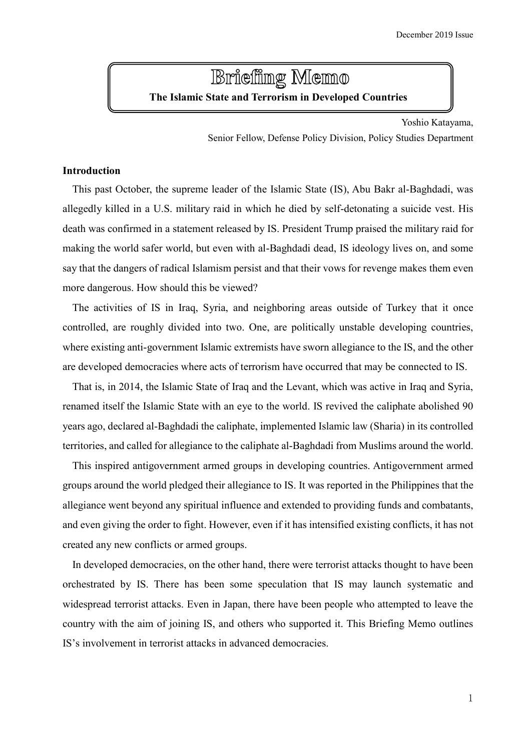# **Brieffing Memo The Islamic State and Terrorism in Developed Countries**

Yoshio Katayama,

Senior Fellow, Defense Policy Division, Policy Studies Department

# **Introduction**

This past October, the supreme leader of the Islamic State (IS), Abu Bakr al-Baghdadi, was allegedly killed in a U.S. military raid in which he died by self-detonating a suicide vest. His death was confirmed in a statement released by IS. President Trump praised the military raid for making the world safer world, but even with al-Baghdadi dead, IS ideology lives on, and some say that the dangers of radical Islamism persist and that their vows for revenge makes them even more dangerous. How should this be viewed?

The activities of IS in Iraq, Syria, and neighboring areas outside of Turkey that it once controlled, are roughly divided into two. One, are politically unstable developing countries, where existing anti-government Islamic extremists have sworn allegiance to the IS, and the other are developed democracies where acts of terrorism have occurred that may be connected to IS.

That is, in 2014, the Islamic State of Iraq and the Levant, which was active in Iraq and Syria, renamed itself the Islamic State with an eye to the world. IS revived the caliphate abolished 90 years ago, declared al-Baghdadi the caliphate, implemented Islamic law (Sharia) in its controlled territories, and called for allegiance to the caliphate al-Baghdadi from Muslims around the world.

This inspired antigovernment armed groups in developing countries. Antigovernment armed groups around the world pledged their allegiance to IS. It was reported in the Philippines that the allegiance went beyond any spiritual influence and extended to providing funds and combatants, and even giving the order to fight. However, even if it has intensified existing conflicts, it has not created any new conflicts or armed groups.

In developed democracies, on the other hand, there were terrorist attacks thought to have been orchestrated by IS. There has been some speculation that IS may launch systematic and widespread terrorist attacks. Even in Japan, there have been people who attempted to leave the country with the aim of joining IS, and others who supported it. This Briefing Memo outlines IS's involvement in terrorist attacks in advanced democracies.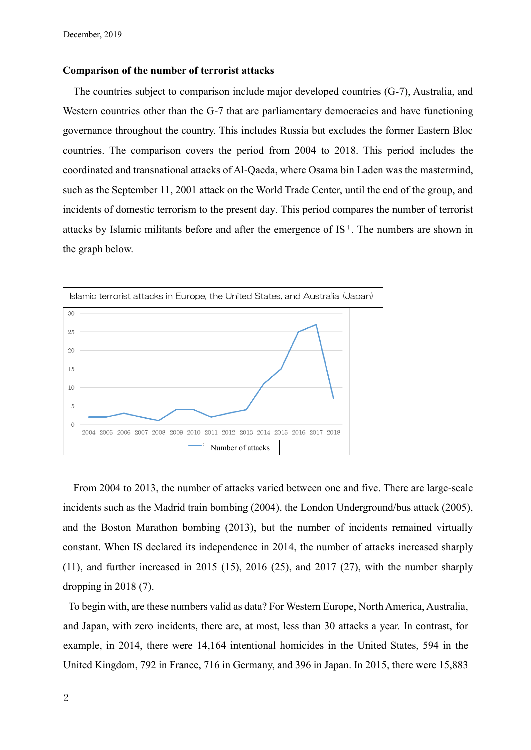#### **Comparison of the number of terrorist attacks**

The countries subject to comparison include major developed countries (G-7), Australia, and Western countries other than the G-7 that are parliamentary democracies and have functioning governance throughout the country. This includes Russia but excludes the former Eastern Bloc countries. The comparison covers the period from 2004 to 2018. This period includes the coordinated and transnational attacks of Al-Qaeda, where Osama bin Laden was the mastermind, such as the September 11, 2001 attack on the World Trade Center, until the end of the group, and incidents of domestic terrorism to the present day. This period compares the number of terrorist attacks by Islamic militants before and after the emergence of  $IS<sup>1</sup>$ . The numbers are shown in the graph below.



From 2004 to 2013, the number of attacks varied between one and five. There are large-scale incidents such as the Madrid train bombing (2004), the London Underground/bus attack (2005), and the Boston Marathon bombing (2013), but the number of incidents remained virtually constant. When IS declared its independence in 2014, the number of attacks increased sharply  $(11)$ , and further increased in 2015  $(15)$ , 2016  $(25)$ , and 2017  $(27)$ , with the number sharply dropping in 2018 (7).

To begin with, are these numbers valid as data? For Western Europe, North America, Australia, and Japan, with zero incidents, there are, at most, less than 30 attacks a year. In contrast, for example, in 2014, there were 14,164 intentional homicides in the United States, 594 in the United Kingdom, 792 in France, 716 in Germany, and 396 in Japan. In 2015, there were 15,883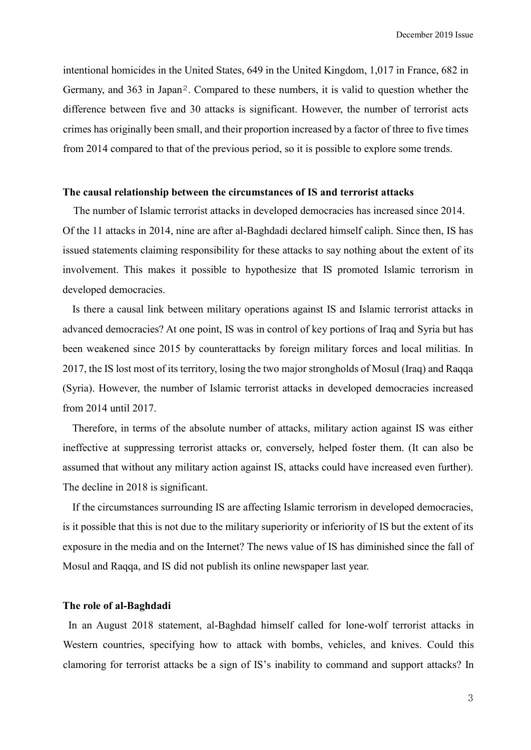intentional homicides in the United States, 649 in the United Kingdom, 1,017 in France, 682 in Germany, and 363 in Japan2. Compared to these numbers, it is valid to question whether the difference between five and 30 attacks is significant. However, the number of terrorist acts crimes has originally been small, and their proportion increased by a factor of three to five times from 2014 compared to that of the previous period, so it is possible to explore some trends.

# **The causal relationship between the circumstances of IS and terrorist attacks**

The number of Islamic terrorist attacks in developed democracies has increased since 2014. Of the 11 attacks in 2014, nine are after al-Baghdadi declared himself caliph. Since then, IS has issued statements claiming responsibility for these attacks to say nothing about the extent of its involvement. This makes it possible to hypothesize that IS promoted Islamic terrorism in developed democracies.

Is there a causal link between military operations against IS and Islamic terrorist attacks in advanced democracies? At one point, IS was in control of key portions of Iraq and Syria but has been weakened since 2015 by counterattacks by foreign military forces and local militias. In 2017, the IS lost most of its territory, losing the two major strongholds of Mosul (Iraq) and Raqqa (Syria). However, the number of Islamic terrorist attacks in developed democracies increased from 2014 until 2017.

Therefore, in terms of the absolute number of attacks, military action against IS was either ineffective at suppressing terrorist attacks or, conversely, helped foster them. (It can also be assumed that without any military action against IS, attacks could have increased even further). The decline in 2018 is significant.

If the circumstances surrounding IS are affecting Islamic terrorism in developed democracies, is it possible that this is not due to the military superiority or inferiority of IS but the extent of its exposure in the media and on the Internet? The news value of IS has diminished since the fall of Mosul and Raqqa, and IS did not publish its online newspaper last year.

### **The role of al-Baghdadi**

In an August 2018 statement, al-Baghdad himself called for lone-wolf terrorist attacks in Western countries, specifying how to attack with bombs, vehicles, and knives. Could this clamoring for terrorist attacks be a sign of IS's inability to command and support attacks? In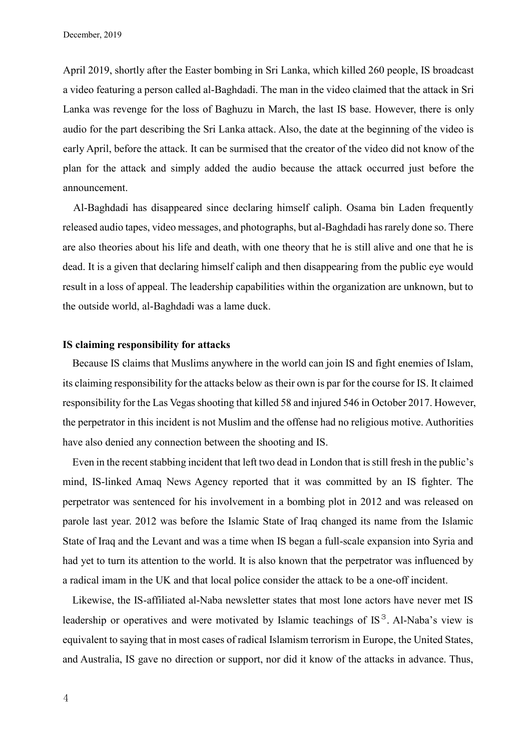April 2019, shortly after the Easter bombing in Sri Lanka, which killed 260 people, IS broadcast a video featuring a person called al-Baghdadi. The man in the video claimed that the attack in Sri Lanka was revenge for the loss of Baghuzu in March, the last IS base. However, there is only audio for the part describing the Sri Lanka attack. Also, the date at the beginning of the video is early April, before the attack. It can be surmised that the creator of the video did not know of the plan for the attack and simply added the audio because the attack occurred just before the announcement.

Al-Baghdadi has disappeared since declaring himself caliph. Osama bin Laden frequently released audio tapes, video messages, and photographs, but al-Baghdadi has rarely done so. There are also theories about his life and death, with one theory that he is still alive and one that he is dead. It is a given that declaring himself caliph and then disappearing from the public eye would result in a loss of appeal. The leadership capabilities within the organization are unknown, but to the outside world, al-Baghdadi was a lame duck.

#### **IS claiming responsibility for attacks**

Because IS claims that Muslims anywhere in the world can join IS and fight enemies of Islam, its claiming responsibility for the attacks below as their own is par for the course for IS. It claimed responsibility for the Las Vegas shooting that killed 58 and injured 546 in October 2017. However, the perpetrator in this incident is not Muslim and the offense had no religious motive. Authorities have also denied any connection between the shooting and IS.

Even in the recent stabbing incident that left two dead in London that is still fresh in the public's mind, IS-linked Amaq News Agency reported that it was committed by an IS fighter. The perpetrator was sentenced for his involvement in a bombing plot in 2012 and was released on parole last year. 2012 was before the Islamic State of Iraq changed its name from the Islamic State of Iraq and the Levant and was a time when IS began a full-scale expansion into Syria and had yet to turn its attention to the world. It is also known that the perpetrator was influenced by a radical imam in the UK and that local police consider the attack to be a one-off incident.

Likewise, the IS-affiliated al-Naba newsletter states that most lone actors have never met IS leadership or operatives and were motivated by Islamic teachings of IS<sup>3</sup>. Al-Naba's view is equivalent to saying that in most cases of radical Islamism terrorism in Europe, the United States, and Australia, IS gave no direction or support, nor did it know of the attacks in advance. Thus,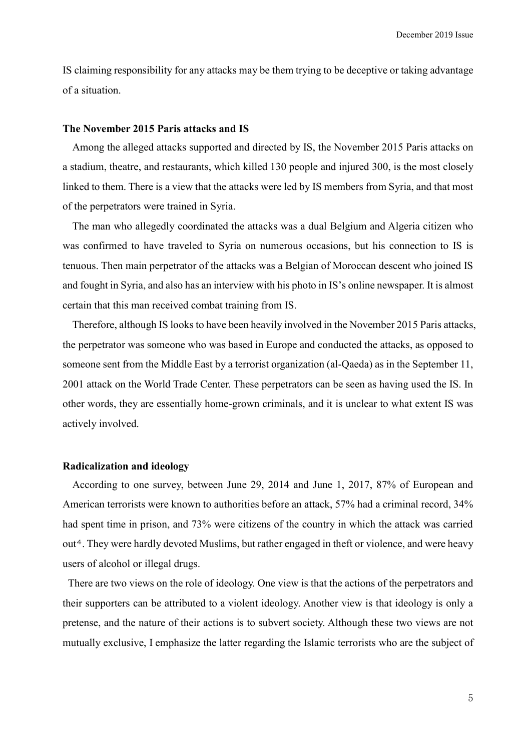IS claiming responsibility for any attacks may be them trying to be deceptive or taking advantage of a situation.

# **The November 2015 Paris attacks and IS**

Among the alleged attacks supported and directed by IS, the November 2015 Paris attacks on a stadium, theatre, and restaurants, which killed 130 people and injured 300, is the most closely linked to them. There is a view that the attacks were led by IS members from Syria, and that most of the perpetrators were trained in Syria.

The man who allegedly coordinated the attacks was a dual Belgium and Algeria citizen who was confirmed to have traveled to Syria on numerous occasions, but his connection to IS is tenuous. Then main perpetrator of the attacks was a Belgian of Moroccan descent who joined IS and fought in Syria, and also has an interview with his photo in IS's online newspaper. It is almost certain that this man received combat training from IS.

Therefore, although IS looks to have been heavily involved in the November 2015 Paris attacks, the perpetrator was someone who was based in Europe and conducted the attacks, as opposed to someone sent from the Middle East by a terrorist organization (al-Qaeda) as in the September 11, 2001 attack on the World Trade Center. These perpetrators can be seen as having used the IS. In other words, they are essentially home-grown criminals, and it is unclear to what extent IS was actively involved.

#### **Radicalization and ideology**

According to one survey, between June 29, 2014 and June 1, 2017, 87% of European and American terrorists were known to authorities before an attack, 57% had a criminal record, 34% had spent time in prison, and 73% were citizens of the country in which the attack was carried out4. They were hardly devoted Muslims, but rather engaged in theft or violence, and were heavy users of alcohol or illegal drugs.

There are two views on the role of ideology. One view is that the actions of the perpetrators and their supporters can be attributed to a violent ideology. Another view is that ideology is only a pretense, and the nature of their actions is to subvert society. Although these two views are not mutually exclusive, I emphasize the latter regarding the Islamic terrorists who are the subject of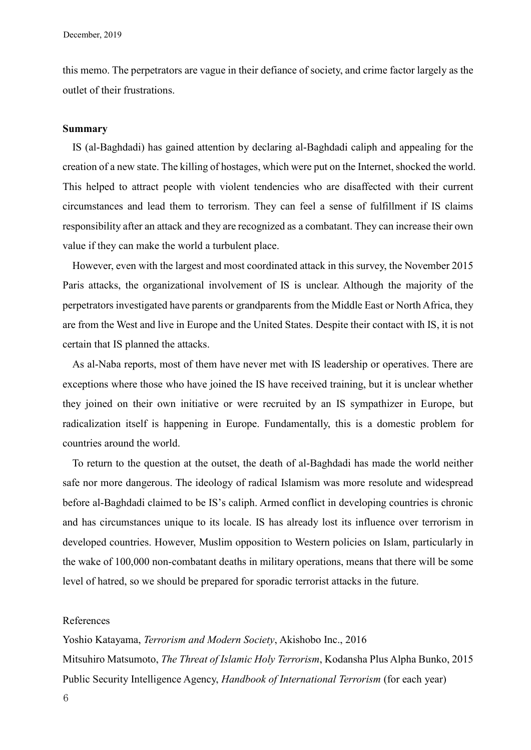this memo. The perpetrators are vague in their defiance of society, and crime factor largely as the outlet of their frustrations.

### **Summary**

IS (al-Baghdadi) has gained attention by declaring al-Baghdadi caliph and appealing for the creation of a new state. The killing of hostages, which were put on the Internet, shocked the world. This helped to attract people with violent tendencies who are disaffected with their current circumstances and lead them to terrorism. They can feel a sense of fulfillment if IS claims responsibility after an attack and they are recognized as a combatant. They can increase their own value if they can make the world a turbulent place.

However, even with the largest and most coordinated attack in this survey, the November 2015 Paris attacks, the organizational involvement of IS is unclear. Although the majority of the perpetrators investigated have parents or grandparents from the Middle East or North Africa, they are from the West and live in Europe and the United States. Despite their contact with IS, it is not certain that IS planned the attacks.

As al-Naba reports, most of them have never met with IS leadership or operatives. There are exceptions where those who have joined the IS have received training, but it is unclear whether they joined on their own initiative or were recruited by an IS sympathizer in Europe, but radicalization itself is happening in Europe. Fundamentally, this is a domestic problem for countries around the world.

To return to the question at the outset, the death of al-Baghdadi has made the world neither safe nor more dangerous. The ideology of radical Islamism was more resolute and widespread before al-Baghdadi claimed to be IS's caliph. Armed conflict in developing countries is chronic and has circumstances unique to its locale. IS has already lost its influence over terrorism in developed countries. However, Muslim opposition to Western policies on Islam, particularly in the wake of 100,000 non-combatant deaths in military operations, means that there will be some level of hatred, so we should be prepared for sporadic terrorist attacks in the future.

# References

Yoshio Katayama, *Terrorism and Modern Society*, Akishobo Inc., 2016 Mitsuhiro Matsumoto, *The Threat of Islamic Holy Terrorism*, Kodansha Plus Alpha Bunko, 2015 Public Security Intelligence Agency, *Handbook of International Terrorism* (for each year)

6